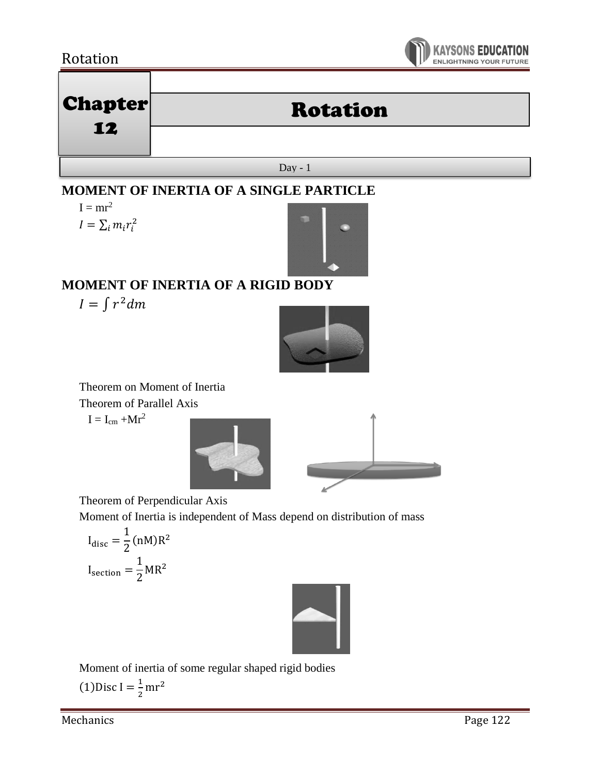## Rotation



# Chapter Rotation

Day - 1

## **MOMENT OF INERTIA OF A SINGLE PARTICLE**

 $I = mr^2$  $I = \sum_i m_i r_i^2$ 

12



# **MOMENT OF INERTIA OF A RIGID BODY**

 $I = \int r^2 dm$ 



Theorem on Moment of Inertia

Theorem of Parallel Axis

 $I = I_{cm} + Mr^2$ 





Theorem of Perpendicular Axis

Moment of Inertia is independent of Mass depend on distribution of mass

$$
I_{\text{disc}} = \frac{1}{2} (nM) R^2
$$

$$
I_{\text{section}} = \frac{1}{2} M R^2
$$



Moment of inertia of some regular shaped rigid bodies  $(1)$ Disc I =  $\frac{1}{2}$  $\frac{1}{2}$ mr<sup>2</sup>

Mechanics Page 122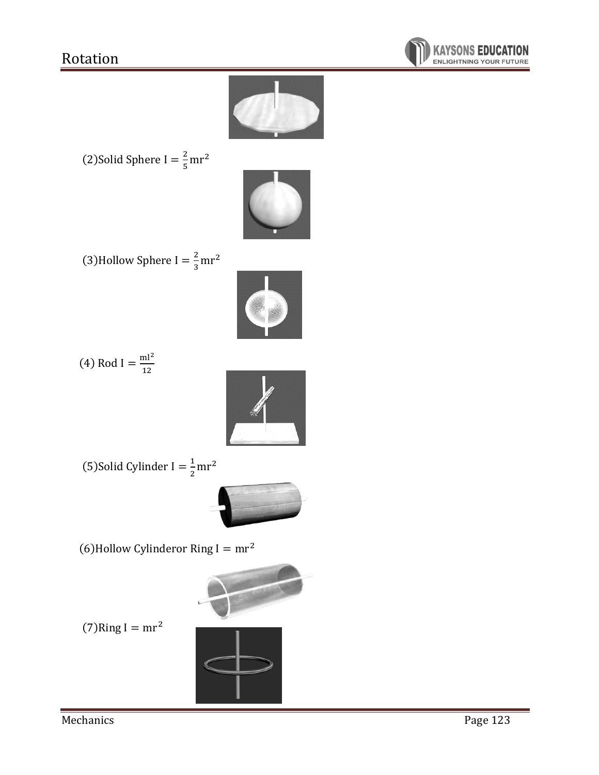



(2) Solid Sphere I = 
$$
\frac{2}{5}
$$
 mr<sup>2</sup>



(3)Hollow Sphere I =  $\frac{2}{3}$  $\frac{2}{3}$ mr<sup>2</sup>



$$
(4) \text{ Rod } I = \frac{\text{ml}^2}{12}
$$



(5)Solid Cylinder I =  $\frac{1}{2}$  $\frac{1}{2}$ mr<sup>2</sup>



(6) Hollow Cylinderor Ring  $I = mr^2$ 



 $(7)$ Ring I = mr<sup>2</sup>

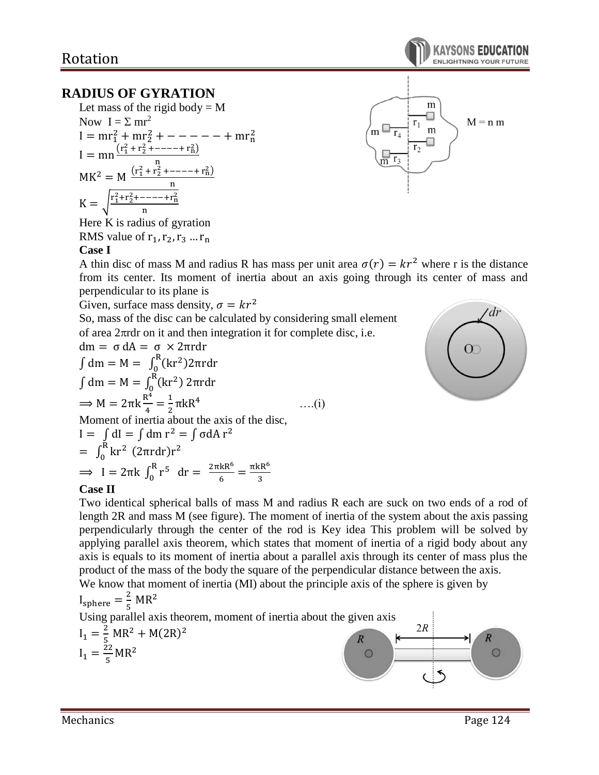## **RADIUS OF GYRATION**

Let mass of the rigid body = M  
\nNow 
$$
I = \Sigma m r^2
$$
  
\n $I = mr_1^2 + mr_2^2 + --- - - - - + mr_n^2$   
\n $I = mn \frac{(r_1^2 + r_2^2 + --- - + r_n^2)}{n}$   
\nMK<sup>2</sup> = M  $\frac{(r_1^2 + r_2^2 + --- + r_n^2)}{n}$   
\nK =  $\sqrt{\frac{r_1^2 + r_2^2 + --- - + r_n^2}{n}}$ 

Here K is radius of gyration RMS value of 
$$
r_1, r_2, r_3, \ldots, r_n
$$

#### **Case I**



A thin disc of mass M and radius R has mass per unit area  $\sigma(r) = kr^2$  where r is the distance from its center. Its moment of inertia about an axis going through its center of mass and perpendicular to its plane is

Given, surface mass density,  $\sigma = kr^2$ 

So, mass of the disc can be calculated by considering small element of area  $2\pi$ rdr on it and then integration it for complete disc, i.e.

dm = σ dA = σ × 2πrdr  
\n
$$
\int dm = M = \int_0^R (kr^2) 2πrdr
$$
\n
$$
\int dm = M = \int_0^R (kr^2) 2πrdr
$$
\n⇒ M = 2πk<sup>4</sup>/<sub>4</sub> = <sup>1</sup>/<sub>2</sub>πkR<sup>4</sup> ....(i)  
\nMoment of inertia about the axis of the disc,  
\nI =  $\int dl = \int dm r^2 = \int \sigma dA r^2$   
\n=  $\int_0^R kr^2 (2πrdr)r^2$   
\n⇒ I = 2πk  $\int_0^R r^5 dr = \frac{2πkR^6}{6} = \frac{πkR^6}{3}$ 



#### **Case II**

Two identical spherical balls of mass M and radius R each are suck on two ends of a rod of length 2R and mass M (see figure). The moment of inertia of the system about the axis passing perpendicularly through the center of the rod is Key idea This problem will be solved by applying parallel axis theorem, which states that moment of inertia of a rigid body about any axis is equals to its moment of inertia about a parallel axis through its center of mass plus the product of the mass of the body the square of the perpendicular distance between the axis. We know that moment of inertia (MI) about the principle axis of the sphere is given by

We know that moment of inertia (Mr) about the principle axis of the sphere is given by  
\n
$$
I_{sphere} = \frac{2}{5} MR^2
$$
\nUsing parallel axis theorem, moment of inertia about the given axis  
\n
$$
I_1 = \frac{2}{5} MR^2 + M(2R)^2
$$
\n
$$
I_1 = \frac{22}{5} MR^2
$$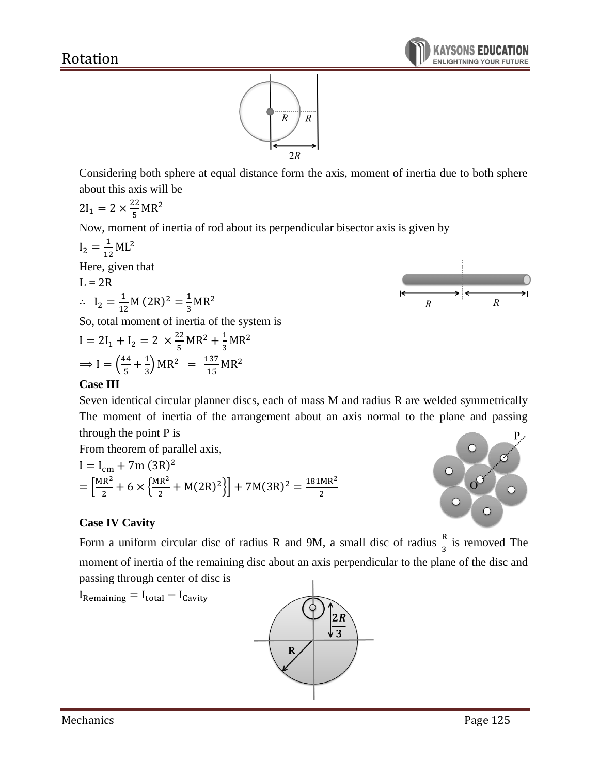

Considering both sphere at equal distance form the axis, moment of inertia due to both sphere about this axis will be

$$
2I_1 = 2 \times \frac{22}{5}MR^2
$$

Now, moment of inertia of rod about its perpendicular bisector axis is given by

$$
I_2 = \frac{1}{12}ML^2
$$
  
Here, given that  

$$
L = 2R
$$
  

$$
\therefore I_2 = \frac{1}{12}M (2R)^2 = \frac{1}{3}MR^2
$$
  
So, total moment of inertia of the system is

So, total moment of inertia of the system is

$$
I = 2I_1 + I_2 = 2 \times \frac{22}{5}MR^2 + \frac{1}{3}MR^2
$$
  

$$
\implies I = \left(\frac{44}{5} + \frac{1}{3}\right)MR^2 = \frac{137}{15}MR^2
$$

### **Case III**

Seven identical circular planner discs, each of mass M and radius R are welded symmetrically The moment of inertia of the arrangement about an axis normal to the plane and passing through the point P is

From theorem of parallel axis,

 $I_{\text{Remaining}} = I_{\text{total}} - I_{\text{Cavity}}$ 

I = I<sub>cm</sub> + 7m (3R)<sup>2</sup>  
= 
$$
\left[\frac{MR^2}{2} + 6 \times \left{\frac{MR^2}{2} + M(2R)^2\right}\right] + 7M(3R)^2 = \frac{181MR^2}{2}
$$



 $\overline{R}$ 

 $\overline{R}$ 

## **Case IV Cavity**

Form a uniform circular disc of radius R and 9M, a small disc of radius  $\frac{R}{3}$  is removed The moment of inertia of the remaining disc about an axis perpendicular to the plane of the disc and passing through center of disc is



Mechanics Page 125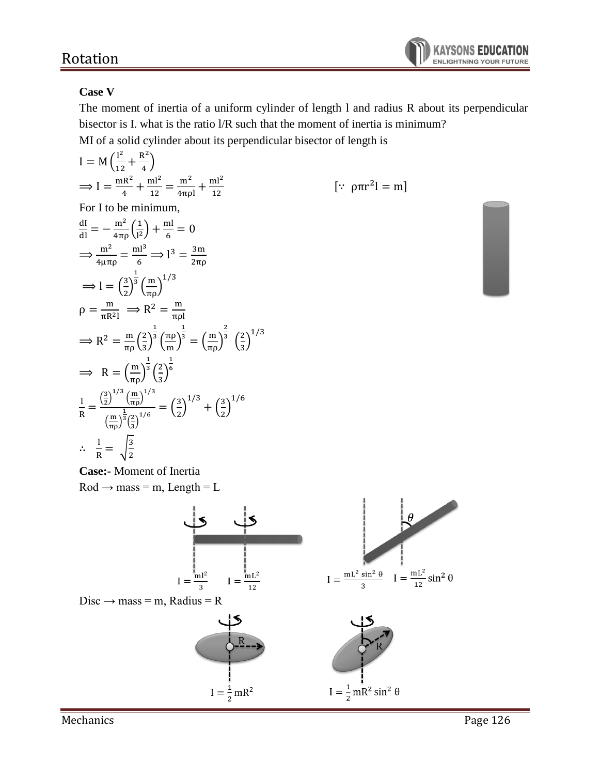#### **Case V**

The moment of inertia of a uniform cylinder of length l and radius R about its perpendicular bisector is I. what is the ratio l/R such that the moment of inertia is minimum? MI of a solid cylinder about its perpendicular bisector of length is

$$
I = M\left(\frac{1^2}{12} + \frac{R^2}{4}\right)
$$
  
\n
$$
\Rightarrow I = \frac{mR^2}{4} + \frac{ml^2}{12} = \frac{m^2}{4\pi\rho l} + \frac{ml^2}{12}
$$
 [.:  $\rho \pi r^2 l = m$ ]  
\nFor I to be minimum,  
\n
$$
\frac{dl}{dl} = -\frac{m^2}{4\pi\rho} \left(\frac{1}{1^2}\right) + \frac{ml}{6} = 0
$$
  
\n
$$
\Rightarrow \frac{m^2}{4\mu\pi\rho} = \frac{ml^3}{6} \Rightarrow l^3 = \frac{3m}{2\pi\rho}
$$
  
\n
$$
\Rightarrow l = \left(\frac{3}{2}\right)^{\frac{1}{3}} \left(\frac{m}{\pi\rho}\right)^{1/3}
$$
  
\n
$$
\rho = \frac{m}{\pi R^2 l} \Rightarrow R^2 = \frac{m}{\pi\rho l}
$$
  
\n
$$
\Rightarrow R^2 = \frac{m}{\pi\rho} \left(\frac{2}{3}\right)^{\frac{1}{3}} \left(\frac{\pi\rho}{m}\right)^{\frac{1}{3}} = \left(\frac{m}{\pi\rho}\right)^{\frac{2}{3}} \left(\frac{2}{3}\right)^{1/3}
$$
  
\n
$$
\Rightarrow R = \left(\frac{m}{\pi\rho}\right)^{\frac{1}{3}} \left(\frac{2}{3}\right)^{\frac{1}{6}}
$$
  
\n
$$
\frac{l}{R} = \frac{\left(\frac{3}{2}\right)^{1/3} \left(\frac{m}{\pi\rho}\right)^{1/3}}{\left(\frac{m}{\pi\rho}\right)^{\frac{1}{3}} \left(\frac{2}{3}\right)^{1/6}} = \left(\frac{3}{2}\right)^{1/3} + \left(\frac{3}{2}\right)^{1/6}
$$
  
\n
$$
\therefore \frac{l}{R} = \sqrt{\frac{3}{2}}
$$

**Case:-** Moment of Inertia  $Rod \rightarrow mass = m$ , Length = L